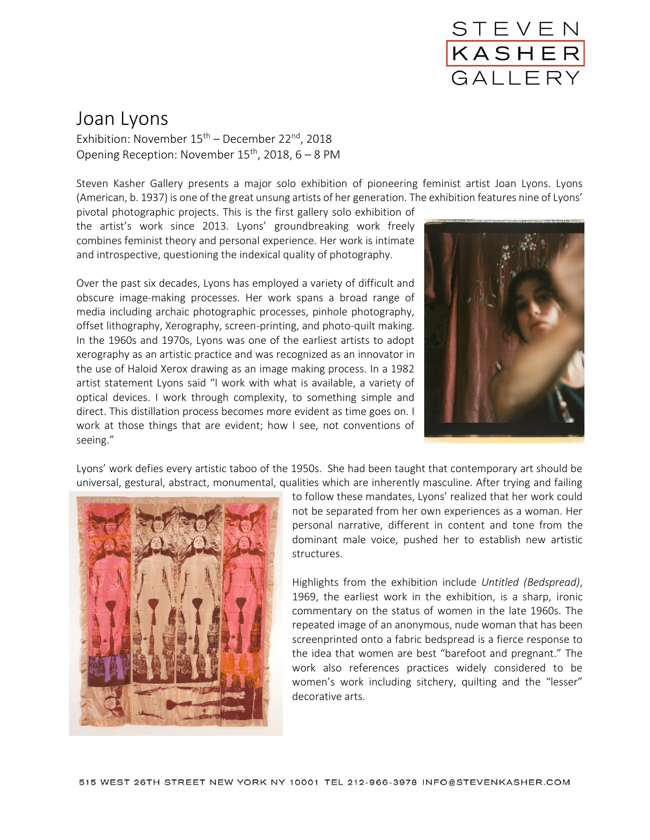

## Joan Lyons

Exhibition: November  $15<sup>th</sup>$  – December 22<sup>nd</sup>, 2018 Opening Reception: November  $15<sup>th</sup>$ , 2018, 6 – 8 PM

Steven Kasher Gallery presents a major solo exhibition of pioneering feminist artist Joan Lyons. Lyons (American, b. 1937) is one of the great unsung artists of her generation. The exhibition features nine of Lyons'

pivotal photographic projects. This is the first gallery solo exhibition of the artist's work since 2013. Lyons' groundbreaking work freely combines feminist theory and personal experience. Her work is intimate and introspective, questioning the indexical quality of photography.

Over the past six decades, Lyons has employed a variety of difficult and obscure image-making processes. Her work spans a broad range of media including archaic photographic processes, pinhole photography, offset lithography, Xerography, screen-printing, and photo-quilt making. In the 1960s and 1970s, Lyons was one of the earliest artists to adopt xerography as an artistic practice and was recognized as an innovator in the use of Haloid Xerox drawing as an image making process. In a 1982 artist statement Lyons said "I work with what is available, a variety of optical devices. I work through complexity, to something simple and direct. This distillation process becomes more evident as time goes on. I work at those things that are evident; how I see, not conventions of seeing."



Lyons' work defies every artistic taboo of the 1950s. She had been taught that contemporary art should be universal, gestural, abstract, monumental, qualities which are inherently masculine. After trying and failing



to follow these mandates, Lyons' realized that her work could not be separated from her own experiences as a woman. Her personal narrative, different in content and tone from the dominant male voice, pushed her to establish new artistic structures.

Highlights from the exhibition include *Untitled (Bedspread)*, 1969, the earliest work in the exhibition, is a sharp, ironic commentary on the status of women in the late 1960s. The repeated image of an anonymous, nude woman that has been screenprinted onto a fabric bedspread is a fierce response to the idea that women are best "barefoot and pregnant." The work also references practices widely considered to be women's work including sitchery, quilting and the "lesser" decorative arts.